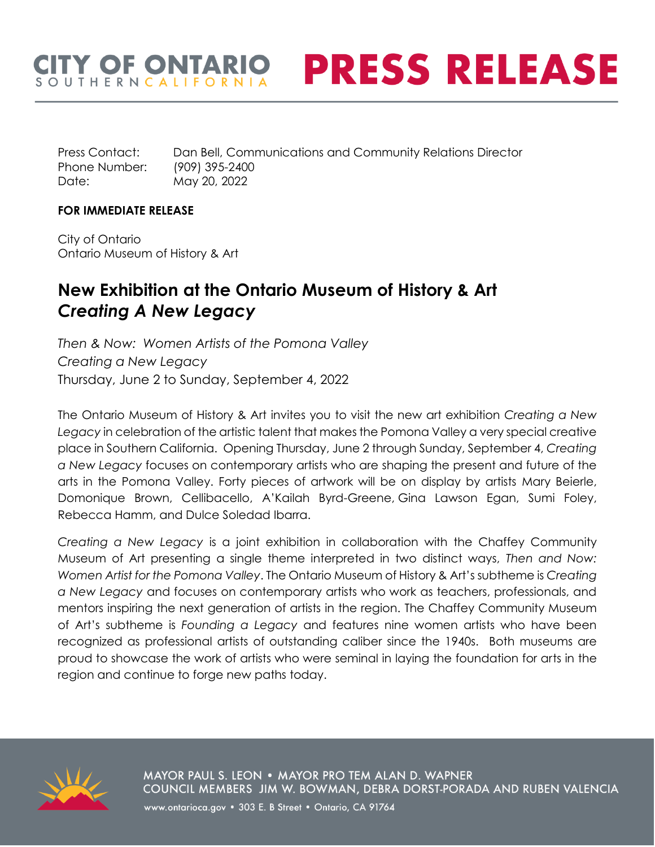## **ITY OF ONTARIO PRESS RELEASE** OUTHERNCALIFORNI

Press Contact: Dan Bell, Communications and Community Relations Director Phone Number: (909) 395-2400 Date: May 20, 2022

#### **FOR IMMEDIATE RELEASE**

City of Ontario Ontario Museum of History & Art

# **New Exhibition at the Ontario Museum of History & Art** *Creating A New Legacy*

*Then & Now: Women Artists of the Pomona Valley Creating a New Legacy* Thursday, June 2 to Sunday, September 4, 2022

The Ontario Museum of History & Art invites you to visit the new art exhibition *Creating a New Legacy* in celebration of the artistic talent that makes the Pomona Valley a very special creative place in Southern California. Opening Thursday, June 2 through Sunday, September 4, *Creating a New Legacy* focuses on contemporary artists who are shaping the present and future of the arts in the Pomona Valley. Forty pieces of artwork will be on display by artists Mary Beierle, Domonique Brown, Cellibacello, A'Kailah Byrd-Greene, Gina Lawson Egan, Sumi Foley, Rebecca Hamm, and Dulce Soledad Ibarra.

*Creating a New Legacy* is a joint exhibition in collaboration with the Chaffey Community Museum of Art presenting a single theme interpreted in two distinct ways, *Then and Now: Women Artist for the Pomona Valley*. The Ontario Museum of History & Art's subtheme is *Creating a New Legacy* and focuses on contemporary artists who work as teachers, professionals, and mentors inspiring the next generation of artists in the region. The Chaffey Community Museum of Art's subtheme is *Founding a Legacy* and features nine women artists who have been recognized as professional artists of outstanding caliber since the 1940s. Both museums are proud to showcase the work of artists who were seminal in laying the foundation for arts in the region and continue to forge new paths today.



MAYOR PAUL S. LEON . MAYOR PRO TEM ALAN D. WAPNER COUNCIL MEMBERS JIM W. BOWMAN, DEBRA DORST-PORADA AND RUBEN VALENCIA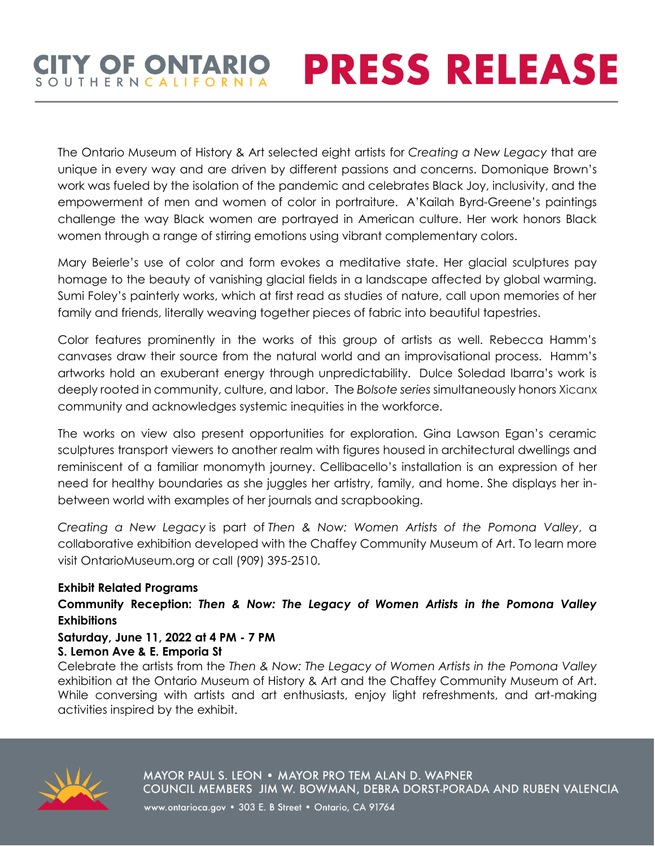## **CITY OF ONTARIO PRESS RELEASE** SOUTHERNCALIFORNI

The Ontario Museum of History & Art selected eight artists for *Creating a New Legacy* that are unique in every way and are driven by different passions and concerns. Domonique Brown's work was fueled by the isolation of the pandemic and celebrates Black Joy, inclusivity, and the empowerment of men and women of color in portraiture. A'Kailah Byrd-Greene's paintings challenge the way Black women are portrayed in American culture. Her work honors Black women through a range of stirring emotions using vibrant complementary colors.

Mary Beierle's use of color and form evokes a meditative state. Her glacial sculptures pay homage to the beauty of vanishing glacial fields in a landscape affected by global warming. Sumi Foley's painterly works, which at first read as studies of nature, call upon memories of her family and friends, literally weaving together pieces of fabric into beautiful tapestries.

Color features prominently in the works of this group of artists as well. Rebecca Hamm's canvases draw their source from the natural world and an improvisational process. Hamm's artworks hold an exuberant energy through unpredictability. Dulce Soledad Ibarra's work is deeply rooted in community, culture, and labor. The *Bolsote series* simultaneously honors Xicanx community and acknowledges systemic inequities in the workforce.

The works on view also present opportunities for exploration. Gina Lawson Egan's ceramic sculptures transport viewers to another realm with figures housed in architectural dwellings and reminiscent of a familiar monomyth journey. Cellibacello's installation is an expression of her need for healthy boundaries as she juggles her artistry, family, and home. She displays her inbetween world with examples of her journals and scrapbooking.

*Creating a New Legacy* is part of *Then & Now: Women Artists of the Pomona Valley*, a collaborative exhibition developed with the Chaffey Community Museum of Art. To learn more visit OntarioMuseum.org or call (909) 395-2510.

#### **Exhibit Related Programs**

**Community Reception:** *Then & Now: The Legacy of Women Artists in the Pomona Valley* **Exhibitions**

#### **Saturday, June 11, 2022 at 4 PM - 7 PM S. Lemon Ave & E. Emporia St**

Celebrate the artists from the *Then & Now: The Legacy of Women Artists in the Pomona Valley*  exhibition at the Ontario Museum of History & Art and the Chaffey Community Museum of Art. While conversing with artists and art enthusiasts, enjoy light refreshments, and art-making activities inspired by the exhibit.



MAYOR PAUL S. LEON . MAYOR PRO TEM ALAN D. WAPNER COUNCIL MEMBERS JIM W. BOWMAN, DEBRA DORST-PORADA AND RUBEN VALENCIA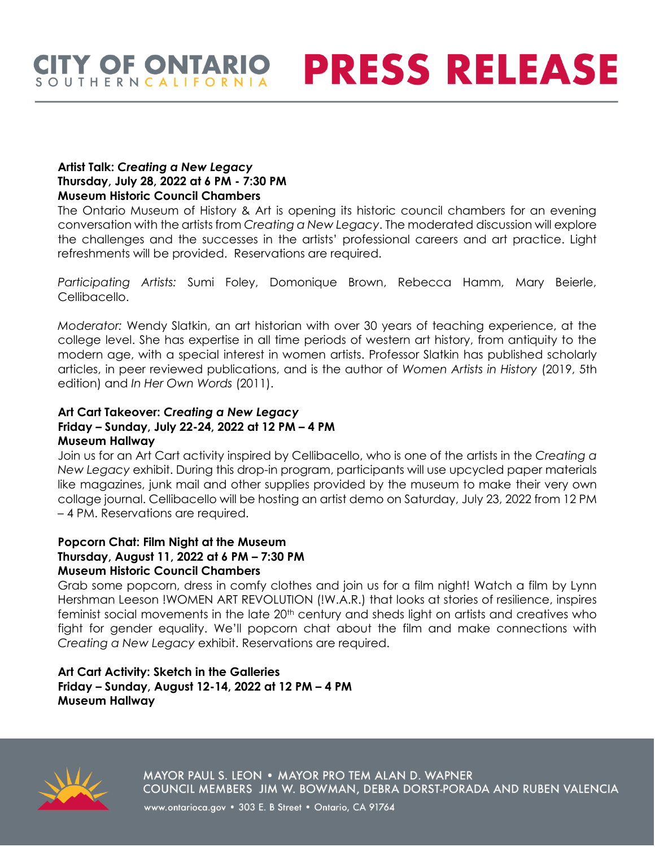### **CITY OF ONTARIO PRESS RELEASE** SOUTHERNCALIFORNI

#### **Artist Talk:** *Creating a New Legacy* **Thursday, July 28, 2022 at 6 PM - 7:30 PM Museum Historic Council Chambers**

The Ontario Museum of History & Art is opening its historic council chambers for an evening conversation with the artists from *Creating a New Legacy*. The moderated discussion will explore the challenges and the successes in the artists' professional careers and art practice. Light refreshments will be provided. Reservations are required.

*Participating Artists:* Sumi Foley, Domonique Brown, Rebecca Hamm, Mary Beierle, Cellibacello.

*Moderator:* Wendy Slatkin, an art historian with over 30 years of teaching experience, at the college level. She has expertise in all time periods of western art history, from antiquity to the modern age, with a special interest in women artists. Professor Slatkin has published scholarly articles, in peer reviewed publications, and is the author of *Women Artists in History* (2019, 5th edition) and *In Her Own Words* (2011).

#### **Art Cart Takeover:** *Creating a New Legacy* **Friday – Sunday, July 22-24, 2022 at 12 PM – 4 PM Museum Hallway**

Join us for an Art Cart activity inspired by Cellibacello, who is one of the artists in the *Creating a New Legacy* exhibit. During this drop-in program, participants will use upcycled paper materials like magazines, junk mail and other supplies provided by the museum to make their very own collage journal. Cellibacello will be hosting an artist demo on Saturday, July 23, 2022 from 12 PM – 4 PM. Reservations are required.

#### **Popcorn Chat: Film Night at the Museum Thursday, August 11, 2022 at 6 PM – 7:30 PM Museum Historic Council Chambers**

Grab some popcorn, dress in comfy clothes and join us for a film night! Watch a film by Lynn Hershman Leeson !WOMEN ART REVOLUTION (!W.A.R.) that looks at stories of resilience, inspires feminist social movements in the late 20<sup>th</sup> century and sheds light on artists and creatives who fight for gender equality. We'll popcorn chat about the film and make connections with *Creating a New Legacy* exhibit. Reservations are required.

#### **Art Cart Activity: Sketch in the Galleries Friday – Sunday, August 12-14, 2022 at 12 PM – 4 PM Museum Hallway**



MAYOR PAUL S. LEON . MAYOR PRO TEM ALAN D. WAPNER COUNCIL MEMBERS JIM W. BOWMAN, DEBRA DORST-PORADA AND RUBEN VALENCIA